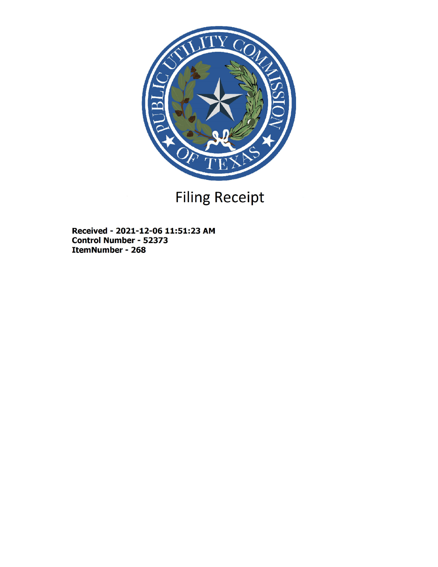

# Filing Receipt

Received - 2021-12-06 11:51:23 AM Control Number - 52373 ItemNumber - 268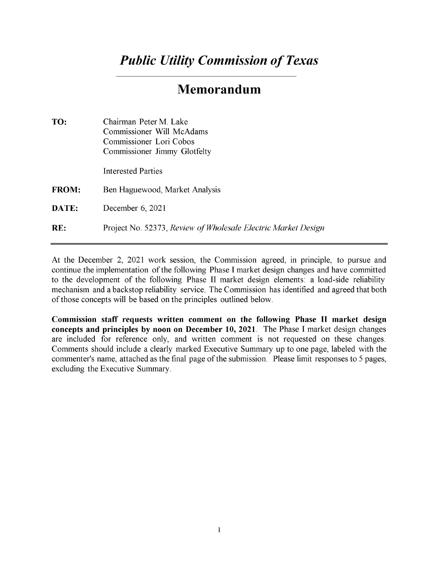## *Public Utility Commission of Texas*

### Memorandum

| TO:          | Chairman Peter M. Lake<br>Commissioner Will McAdams<br>Commissioner Lori Cobos<br>Commissioner Jimmy Glotfelty |
|--------------|----------------------------------------------------------------------------------------------------------------|
|              | <b>Interested Parties</b>                                                                                      |
| <b>FROM:</b> | Ben Haguewood, Market Analysis                                                                                 |
| <b>DATE:</b> | December $6, 2021$                                                                                             |
| RE:          | Project No. 52373, Review of Wholesale Electric Market Design                                                  |

At the December 2, 2021 work session, the Commission agreed, in principle, to pursue and continue the implementation of the following Phase I market design changes and have committed to the development of the following Phase II market design elements: a load-side reliability mechanism and a backstop reliability service. The Commission has identified and agreed that both of those concepts will be based on the principles outlined below.

Commission staff requests written comment on the following Phase II market design concepts and principles by noon on December 10, 2021. The Phase I market design changes are included for reference only, and written comment is not requested on these changes. Comments should include a clearly marked Executive Summary up to one page, labeled with the commenter's name, attached as the final page of the submission. Please limit responses to 5 pages, excluding the Executive Summary.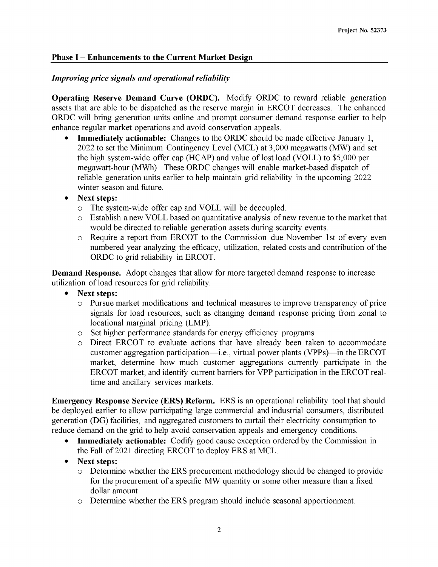#### Phase I - Enhancements to the Current Market Design

#### *Improving price signals and operational reliability*

Operating Reserve Demand Curve (ORDC). Modify ORDC to reward reliable generation assets that are able to be dispatched as the reserve margin in ERCOT decreases. The enhanced ORDC will bring generation units online and prompt consumer demand response earlier to help enhance regular market operations and avoid conservation appeals.

**Immediately actionable:** Changes to the ORDC should be made effective January 1, 2022 to set the Minimum Contingency Level (MCL) at 3,000 megawatts (MW) and set the high system-wide offer cap (HCAP) and value of lost load (VOLL) to \$5,000 per megawatt-hour (MWh). These ORDC changes will enable market-based dispatch of reliable generation units earlier to help maintain grid reliability in the upcoming 2022 winter season and future.

#### Next steps:

- o The system-wide offer cap and VOLL will be decoupled.
- $\circ$  Establish a new VOLL based on quantitative analysis of new revenue to the market that would be directed to reliable generation assets during scarcity events.
- o Require a report from ERCOT to the Commission due November 1 st of every even numbered year analyzing the efficacy, utilization, related costs and contribution of the ORDC to grid reliability in ERCOT.

Demand Response. Adopt changes that allow for more targeted demand response to increase utilization of load resources for grid reliability.

#### • Next steps:

- o Pursue market modifications and technical measures to improve transparency of price signals for load resources, such as changing demand response pricing from zonal to locational marginal pricing (LMP)
- o Set higher performance standards for energy efficiency programs.
- Direct ERCOT to evaluate actions that have already been taken to accommodate customer aggregation participation—i.e., virtual power plants (VPPs)—in the ERCOT market, determine how much customer aggregations currently participate in the ERCOT market, and identify current barriers for VPP participation in the ERCOT realtime and ancillary services markets.

Emergency Response Service (ERS) Reform. ERS is an operational reliability tool that should be deployed earlier to allow participating large commercial and industrial consumers, distributed generation (DG) facilities, and aggregated customers to curtail their electricity consumption to reduce demand on the grid to help avoid conservation appeals and emergency conditions.

- Immediately actionable: Codify good cause exception ordered by the Commission in the Fall of 2021 directing ERCOT to deploy ERS at MCL.
- Next steps:
	- o Determine whether the ERS procurement methodology should be changed to provide for the procurement of a specific MW quantity or some other measure than a fixed dollar amount.
	- o Determine whether the ERS program should include seasonal apportionment.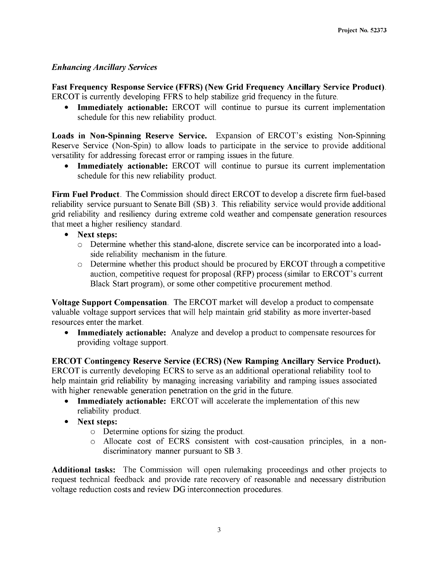#### *Enhancing Ancillary Services*

Fast Frequency Response Service (FFRS) (New Grid Frequency Ancillary Service Product). ERCOT is currently developing FFRS to help stabilize grid frequency in the future.

• Immediately actionable: ERCOT will continue to pursue its current implementation schedule for this new reliability product.

Loads in Non-Spinning Reserve Service. Expansion of ERCOT's existing Non-Spinning Reserve Service (Non-Spin) to allow loads to participate in the service to provide additional versatility for addressing forecast error or ramping issues in the future.

Immediately actionable: ERCOT will continue to pursue its current implementation schedule for this new reliability product.

Firm Fuel Product. The Commission should direct ERCOT to develop a discrete firm fuel-based reliability service pursuant to Senate Bill (SB) 3. This reliability service would provide additional grid reliability and resiliency during extreme cold weather and compensate generation resources that meet a higher resiliency standard.

- Next steps:
	- o Determine whether this stand-alone, discrete service can be incorporated into a loadside reliability mechanism in the future.
	- o Determine whether this product should be procured by ERCOT through a competitive auction, competitive request for proposal (RFP) process (similar to ERCOT's current Black Start program), or some other competitive procurement method.

Voltage Support Compensation. The ERCOT market will develop a product to compensate valuable voltage support services that will help maintain grid stability as more inverter-based resources enter the market.

• Immediately actionable: Analyze and develop a product to compensate resources for providing voltage support.

ERCOT Contingency Reserve Service (ECRS) (New Ramping Ancillary Service Product). ERCOT is currently developing ECRS to serve as an additional operational reliability tool to help maintain grid reliability by managing increasing variability and ramping issues associated with higher renewable generation penetration on the grid in the future.

- Immediately actionable: ERCOT will accelerate the implementation of this new reliability product.
- Next steps:
	- o Determine options for sizing the product.
	- o Allocate cost of ECRS consistent with cost-causation principles, in a nondiscriminatory manner pursuant to SB 3.

Additional tasks: The Commission will open rulemaking proceedings and other projects to request technical feedback and provide rate recovery of reasonable and necessary distribution voltage reduction costs and review DG interconnection procedures.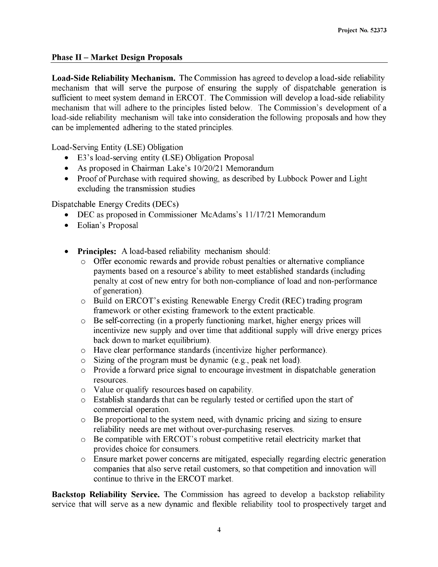#### Phase II - Market Design Proposals

Load-Side Reliability Mechanism. The Commission has agreed to develop a load-side reliability mechanism that will serve the purpose of ensuring the supply of dispatchable generation is sufficient to meet system demand in ERCOT. The Commission will develop a load-side reliability mechanism that will adhere to the principles listed below. The Commission's development of a load-side reliability mechanism will take into consideration the following proposals and how they can be implemented adhering to the stated principles.

Load-Serving Entity (LSE) Obligation

- E3's load-serving entity (LSE) Obligation Proposal
- As proposed in Chairman Lake's 10/20/21 Memorandum
- Proof of Purchase with required showing, as described by Lubbock Power and Light excluding the transmission studies

Dispatchable Energy Credits (DECs)

- DEC as proposed in Commissioner McAdams's 11/17/21 Memorandum
- Eolian's Proposal
- Principles: A load-based reliability mechanism should:
	- Offer economic rewards and provide robust penalties or alternative compliance payments based on a resource's ability to meet established standards (including penalty at cost of new entry for both non-compliance of load and non-performance of generation).
	- o Build on ERCOT's existing Renewable Energy Credit (REC) trading program framework or other existing framework to the extent practicable.
	- o Be self-correcting (in a properly functioning market, higher energy prices will incentivize new supply and over time that additional supply will drive energy prices back down to market equilibrium).
	- o Have clear performance standards (incentivize higher performance).
	- $\circ$  Sizing of the program must be dynamic (e.g., peak net load).
	- o Provide a forward price signal to encourage investment in dispatchable generation resources.
	- o Value or qualify resources based on capability.
	- o Establish standards that can be regularly tested or certified upon the start of commercial operation.
	- $\circ$  Be proportional to the system need, with dynamic pricing and sizing to ensure reliability needs are met without over-purchasing reserves.
	- o Be compatible with ERCOT's robust competitive retail electricity market that provides choice for consumers.
	- o Ensure market power concerns are mitigated, especially regarding electric generation companies that also serve retail customers, so that competition and innovation will continue to thrive in the ERCOT market.

Backstop Reliability Service. The Commission has agreed to develop a backstop reliability service that will serve as a new dynamic and flexible reliability tool to prospectively target and